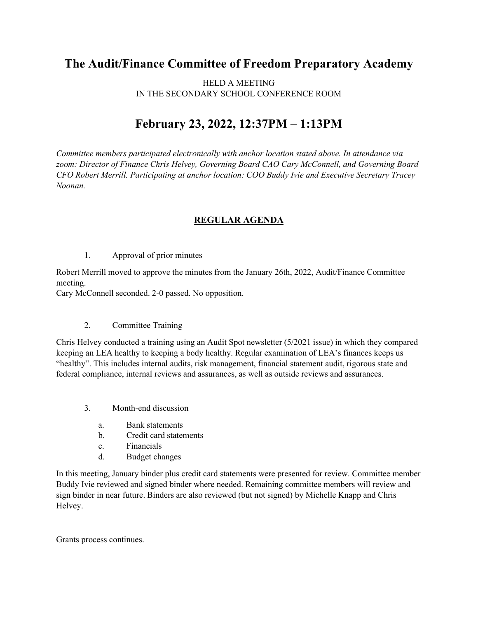## **The Audit/Finance Committee of Freedom Preparatory Academy**

HELD A MEETING IN THE SECONDARY SCHOOL CONFERENCE ROOM

## **February 23, 2022, 12:37PM – 1:13PM**

*Committee members participated electronically with anchor location stated above. In attendance via zoom: Director of Finance Chris Helvey, Governing Board CAO Cary McConnell, and Governing Board CFO Robert Merrill. Participating at anchor location: COO Buddy Ivie and Executive Secretary Tracey Noonan.*

## **REGULAR AGENDA**

1. Approval of prior minutes

Robert Merrill moved to approve the minutes from the January 26th, 2022, Audit/Finance Committee meeting.

Cary McConnell seconded. 2-0 passed. No opposition.

## 2. Committee Training

Chris Helvey conducted a training using an Audit Spot newsletter (5/2021 issue) in which they compared keeping an LEA healthy to keeping a body healthy. Regular examination of LEA's finances keeps us "healthy". This includes internal audits, risk management, financial statement audit, rigorous state and federal compliance, internal reviews and assurances, as well as outside reviews and assurances.

- 3. Month-end discussion
	- a. Bank statements
	- b. Credit card statements
	- c. Financials
	- d. Budget changes

In this meeting, January binder plus credit card statements were presented for review. Committee member Buddy Ivie reviewed and signed binder where needed. Remaining committee members will review and sign binder in near future. Binders are also reviewed (but not signed) by Michelle Knapp and Chris Helvey.

Grants process continues.